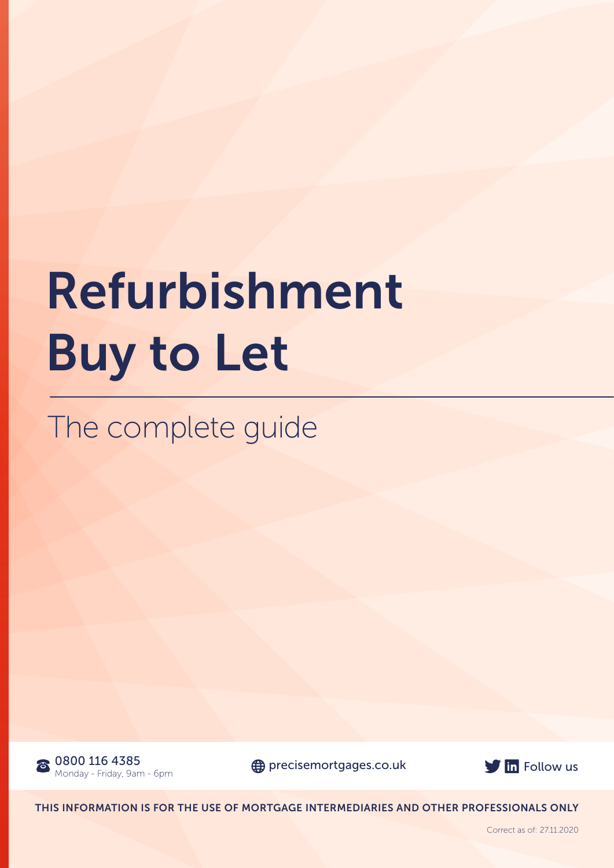# Refurbishment Buy to Let

The complete guide





THIS INFORMATION IS FOR THE USE OF MORTGAGE INTERMEDIARIES AND OTHER PROFESSIONALS ONLY

Correct as of: 27.11.2020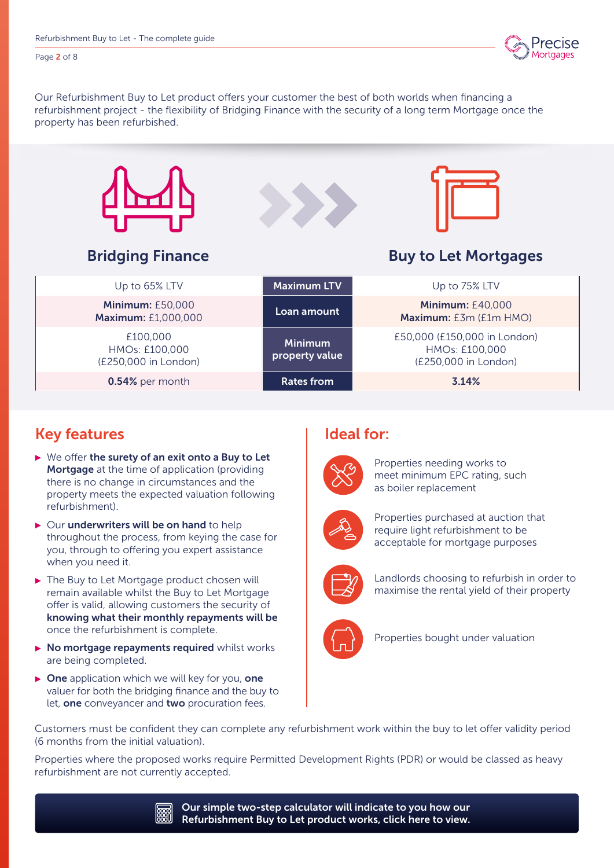

Page 2 of 8

Our Refurbishment Buy to Let product offers your customer the best of both worlds when financing a refurbishment project - the flexibility of Bridging Finance with the security of a long term Mortgage once the property has been refurbished.



### Key features

- $\triangleright$  We offer the surety of an exit onto a Buy to Let **Mortgage** at the time of application (providing there is no change in circumstances and the property meets the expected valuation following refurbishment).
- $\triangleright$  Our underwriters will be on hand to help throughout the process, from keying the case for you, through to offering you expert assistance when you need it.
- ▶ The Buy to Let Mortgage product chosen will remain available whilst the Buy to Let Mortgage offer is valid, allowing customers the security of knowing what their monthly repayments will be once the refurbishment is complete.
- $\triangleright$  No mortgage repayments required whilst works are being completed.
- $\triangleright$  One application which we will key for you, one valuer for both the bridging finance and the buy to let, one conveyancer and two procuration fees.

#### Ideal for:



Properties needing works to meet minimum EPC rating, such as boiler replacement



Properties purchased at auction that require light refurbishment to be acceptable for mortgage purposes



Landlords choosing to refurbish in order to maximise the rental yield of their property



Properties bought under valuation

Customers must be confident they can complete any refurbishment work within the buy to let offer validity period (6 months from the initial valuation).

Properties where the proposed works require Permitted Development Rights (PDR) or would be classed as heavy refurbishment are not currently accepted.

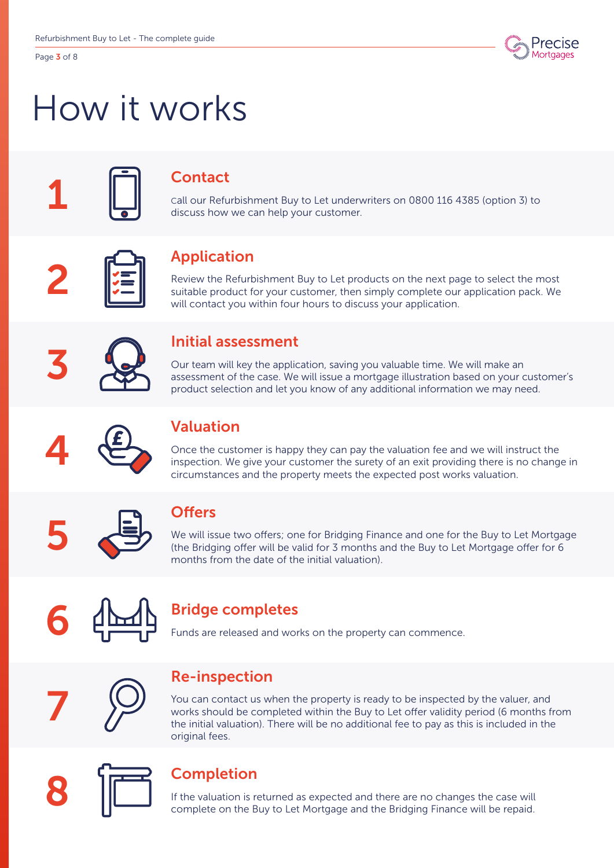Page 3 of 8



## How it works

## **Contact**

Call our Refurbishment Buy to Let underwriters on 0800 116 4385 (option 3) to discuss how we can help your customer.



## Application

Review the Refurbishment Buy to Let products on the next page to select the most suitable product for your customer, then simply complete our application pack. We will contact you within four hours to discuss your application.



#### Initial assessment

Our team will key the application, saving you valuable time. We will make an assessment of the case. We will issue a mortgage illustration based on your customer's product selection and let you know of any additional information we may need.



## Valuation

Once the customer is happy they can pay the valuation fee and we will instruct the inspection. We give your customer the surety of an exit providing there is no change in circumstances and the property meets the expected post works valuation.



### **Offers**

We will issue two offers; one for Bridging Finance and one for the Buy to Let Mortgage (the Bridging offer will be valid for 3 months and the Buy to Let Mortgage offer for 6 months from the date of the initial valuation).



## Bridge completes

Funds are released and works on the property can commence.



#### Re-inspection

You can contact us when the property is ready to be inspected by the valuer, and works should be completed within the Buy to Let offer validity period (6 months from the initial valuation). There will be no additional fee to pay as this is included in the original fees.



#### Completion

If the valuation is returned as expected and there are no changes the case will complete on the Buy to Let Mortgage and the Bridging Finance will be repaid.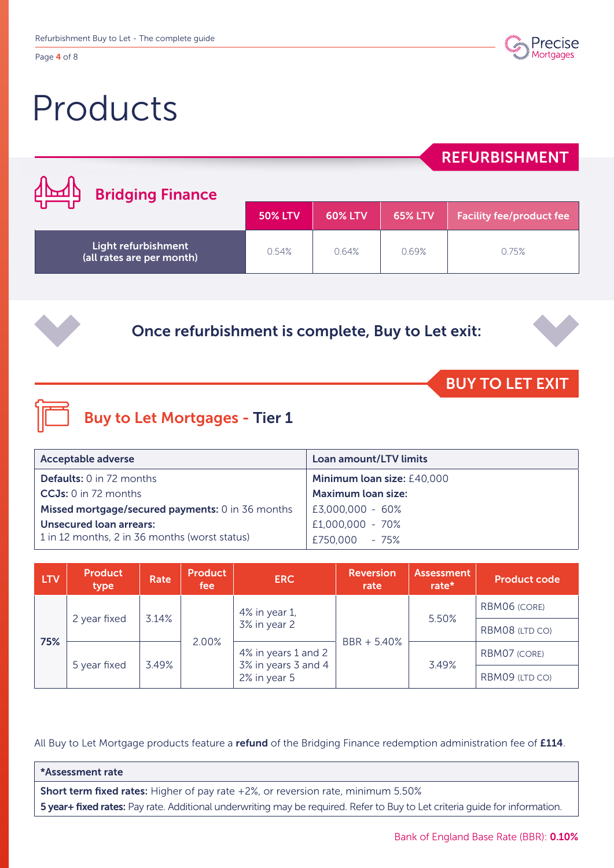Page 4 of 8

## Products



### REFURBISHMENT

| ∄∐ብ<br><b>Bridging Finance</b>                   |                |                |                |                                 |  |
|--------------------------------------------------|----------------|----------------|----------------|---------------------------------|--|
|                                                  | <b>50% LTV</b> | <b>60% LTV</b> | <b>65% LTV</b> | <b>Facility fee/product fee</b> |  |
| Light refurbishment<br>(all rates are per month) | 0.54%          | 0.64%          | 0.69%          | 0.75%                           |  |

Once refurbishment is complete, Buy to Let exit:

## BUY TO LET EXIT

## Buy to Let Mortgages - Tier 1

| <b>Acceptable adverse</b>                        | <b>Loan amount/LTV limits</b> |
|--------------------------------------------------|-------------------------------|
| <b>Defaults:</b> 0 in 72 months                  | Minimum loan size: £40,000    |
| $CCJs: 0$ in 72 months                           | <b>Maximum loan size:</b>     |
| Missed mortgage/secured payments: 0 in 36 months | E3,000,000 - 60%              |
| Unsecured loan arrears:                          | £1,000,000 - 70%              |
| 1 in 12 months, 2 in 36 months (worst status)    | £750,000 - 75%                |

| <b>LTV</b> | <b>Product</b><br>type | Rate  | <b>Product</b><br>fee | <b>ERC</b>                          | <b>Reversion</b><br>rate | <b>Assessment</b><br>rate* | <b>Product code</b> |
|------------|------------------------|-------|-----------------------|-------------------------------------|--------------------------|----------------------------|---------------------|
|            |                        | 3.14% |                       | 4% in year 1,                       |                          | 5.50%                      | RBM06 (CORE)        |
| 75%        | 2 year fixed           |       | 2.00%                 | 3% in year 2<br>4% in years 1 and 2 | BBR + 5.40%              |                            | RBM08 (LTD CO)      |
|            | 5 year fixed           | 3.49% |                       |                                     |                          | 3.49%                      | RBM07 (CORE)        |
|            |                        |       |                       | 3% in years 3 and 4<br>2% in year 5 |                          |                            | RBM09 (LTD CO)      |

All Buy to Let Mortgage products feature a refund of the Bridging Finance redemption administration fee of £114.

#### \*Assessment rate

Short term fixed rates: Higher of pay rate +2%, or reversion rate, minimum 5.50% 5 year+ fixed rates: Pay rate. Additional underwriting may be required. Refer to Buy to Let criteria guide for information.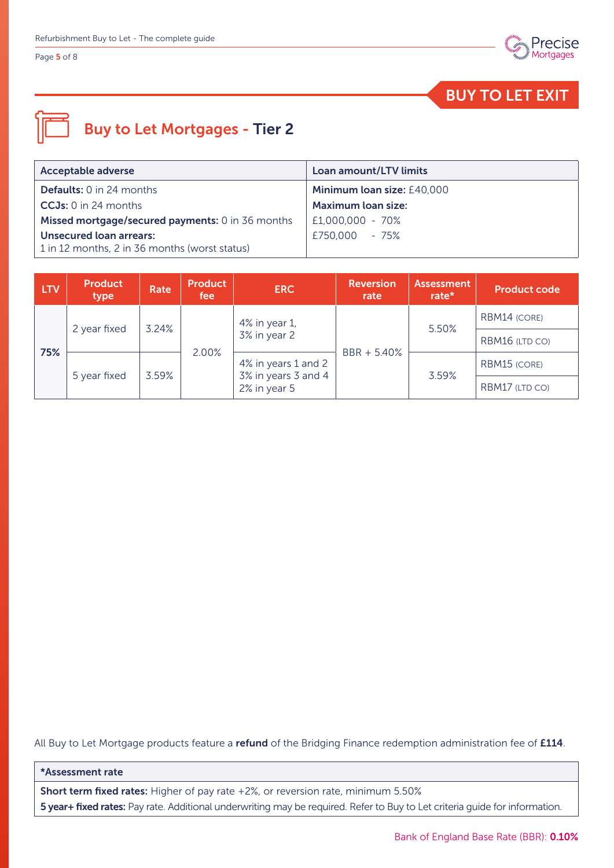#### Page 5 of 8



BUY TO LET EXIT

## Buy to Let Mortgages - Tier 2

| Acceptable adverse                               | Loan amount/LTV limits     |
|--------------------------------------------------|----------------------------|
| <b>Defaults:</b> 0 in 24 months                  | Minimum loan size: £40,000 |
| $CCJs: 0$ in 24 months                           | <b>Maximum loan size:</b>  |
| Missed mortgage/secured payments: 0 in 36 months | £1,000,000 - 70%           |
| <b>Unsecured loan arrears:</b>                   | £750.000 - 75%             |
| 1 in 12 months, 2 in 36 months (worst status)    |                            |

| <b>LTV</b> | <b>Product</b><br>type | Rate                                                                | Product<br>fee | <b>ERC</b>    | <b>Reversion</b><br>rate | <b>Assessment</b><br>rate* | <b>Product code</b> |
|------------|------------------------|---------------------------------------------------------------------|----------------|---------------|--------------------------|----------------------------|---------------------|
|            |                        | 3.24%                                                               |                | 4% in year 1, |                          | 5.50%                      | RBM14 (CORE)        |
| 75%        | 2 year fixed           |                                                                     | 2.00%          | 3% in year 2  | BBR + 5.40%              |                            | RBM16 (LTD CO)      |
|            |                        | 4% in years 1 and 2<br>3% in years 3 and 4<br>3.59%<br>2% in year 5 |                |               |                          | RBM15 (CORE)               |                     |
|            | 5 year fixed           |                                                                     |                |               |                          | 3.59%                      | RBM17 (LTD CO)      |

All Buy to Let Mortgage products feature a refund of the Bridging Finance redemption administration fee of £114.

#### \*Assessment rate

Short term fixed rates: Higher of pay rate +2%, or reversion rate, minimum 5.50% 5 year+ fixed rates: Pay rate. Additional underwriting may be required. Refer to Buy to Let criteria guide for information.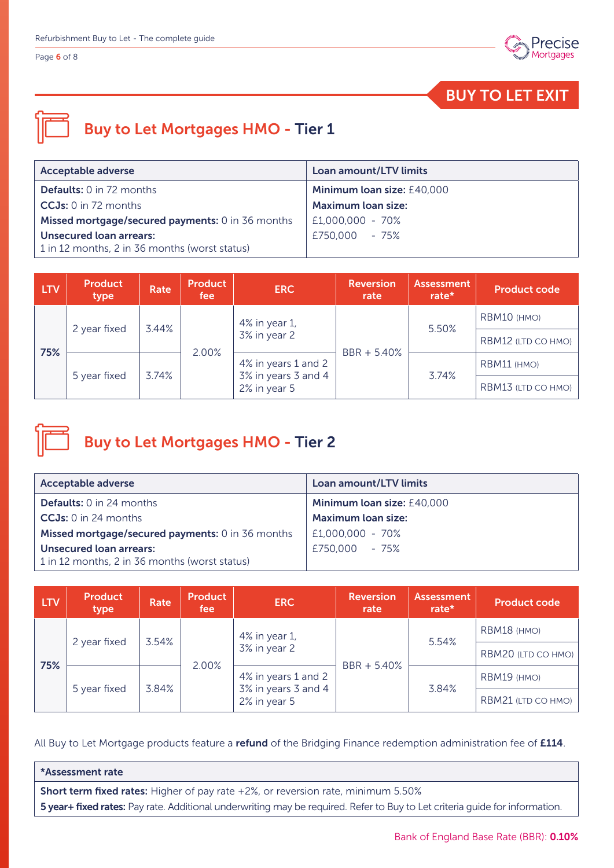Page 6 of 8



BUY TO LET EXIT

## Buy to Let Mortgages HMO - Tier 1

| <b>Acceptable adverse</b>                        | <b>Loan amount/LTV limits</b> |
|--------------------------------------------------|-------------------------------|
| <b>Defaults:</b> 0 in 72 months                  | Minimum loan size: £40,000    |
| $CCJs: 0$ in 72 months                           | <b>Maximum loan size:</b>     |
| Missed mortgage/secured payments: 0 in 36 months | £1,000,000 - 70%              |
| <b>Unsecured loan arrears:</b>                   | £750,000 - 75%                |
| 1 in 12 months, 2 in 36 months (worst status)    |                               |

| <b>LTV</b> | <b>Product</b><br>type | Rate  | <b>Product</b><br>fee | <b>ERC</b>                          | <b>Reversion</b><br>rate | <b>Assessment</b><br>rate* | <b>Product code</b> |
|------------|------------------------|-------|-----------------------|-------------------------------------|--------------------------|----------------------------|---------------------|
|            | 2 year fixed           | 3.44% |                       | 4% in year 1,                       |                          | 5.50%                      | RBM10 (HMO)         |
| 75%        |                        |       | 2.00%                 | 3% in year 2<br>4% in years 1 and 2 | $BBR + 5.40%$            |                            | RBM12 (LTD CO HMO)  |
|            |                        | 3.74% |                       |                                     |                          | 3.74%                      | RBM11 (HMO)         |
|            | 5 year fixed           |       |                       | 3% in years 3 and 4<br>2% in year 5 |                          |                            | RBM13 (LTD CO HMO)  |



## Buy to Let Mortgages HMO - Tier 2

| <b>Acceptable adverse</b>                        | <b>Loan amount/LTV limits</b>     |
|--------------------------------------------------|-----------------------------------|
| <b>Defaults:</b> 0 in 24 months                  | <b>Minimum loan size: £40,000</b> |
| $CCJs: 0$ in 24 months                           | <b>Maximum loan size:</b>         |
| Missed mortgage/secured payments: 0 in 36 months | £1,000,000 - 70%                  |
| Unsecured loan arrears:                          | £750,000 - 75%                    |
| 1 in 12 months, 2 in 36 months (worst status)    |                                   |

| <b>LTV</b> | <b>Product</b><br>type | Rate  | <b>Product</b><br>fee | <b>ERC</b>                                                                          | <b>Reversion</b><br>rate | <b>Assessment</b><br>rate* | <b>Product code</b> |
|------------|------------------------|-------|-----------------------|-------------------------------------------------------------------------------------|--------------------------|----------------------------|---------------------|
|            | 2 year fixed           | 3.54% |                       | 4% in year 1,                                                                       |                          | 5.54%                      | RBM18 (HMO)         |
| 75%        |                        |       |                       | 3% in year 2<br>2.00%<br>4% in years 1 and 2<br>3% in years 3 and 4<br>2% in year 5 | BBR + 5.40%              |                            | RBM20 (LTD CO HMO)  |
|            |                        |       | 3.84%                 |                                                                                     |                          |                            | RBM19 (HMO)         |
|            | 5 year fixed           |       |                       |                                                                                     |                          | 3.84%                      | RBM21 (LTD CO HMO)  |

All Buy to Let Mortgage products feature a refund of the Bridging Finance redemption administration fee of £114.

#### \*Assessment rate

Short term fixed rates: Higher of pay rate +2%, or reversion rate, minimum 5.50% 5 year+ fixed rates: Pay rate. Additional underwriting may be required. Refer to Buy to Let criteria guide for information.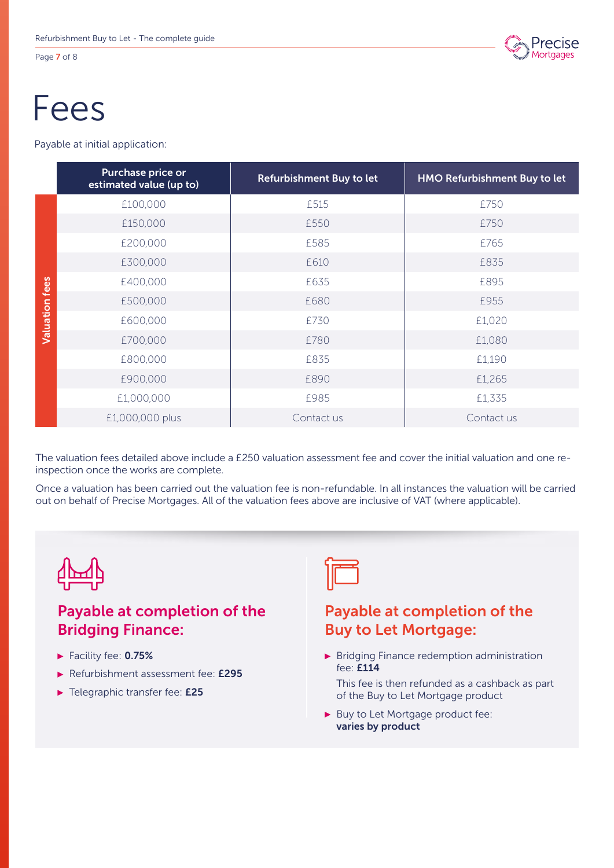Page 7 of 8



## Fees

Payable at initial application:

|                       | Purchase price or<br>estimated value (up to) | Refurbishment Buy to let | HMO Refurbishment Buy to let |
|-----------------------|----------------------------------------------|--------------------------|------------------------------|
|                       | £100,000                                     | £515                     | £750                         |
|                       | £150,000                                     | £550                     | £750                         |
|                       | £200,000                                     | £585                     | £765                         |
|                       | £300,000                                     | £610                     | £835                         |
|                       | £400,000                                     | £635                     | £895                         |
| <b>Valuation fees</b> | £500,000                                     | £680                     | £955                         |
|                       | £600,000                                     | £730                     | £1,020                       |
|                       | £700,000                                     | £780                     | £1,080                       |
|                       | £800,000                                     | £835                     | £1,190                       |
|                       | £900,000                                     | £890                     | £1,265                       |
|                       | £1,000,000                                   | £985                     | £1,335                       |
|                       | £1,000,000 plus                              | Contact us               | Contact us                   |

The valuation fees detailed above include a £250 valuation assessment fee and cover the initial valuation and one reinspection once the works are complete.

Once a valuation has been carried out the valuation fee is non-refundable. In all instances the valuation will be carried out on behalf of Precise Mortgages. All of the valuation fees above are inclusive of VAT (where applicable).



## Payable at completion of the Bridging Finance:

- Facility fee: 0.75%
- Refurbishment assessment fee: £295
- Felegraphic transfer fee: £25



### Payable at completion of the Buy to Let Mortgage:

- **Bridging Finance redemption administration** fee: £114
	- This fee is then refunded as a cashback as part of the Buy to Let Mortgage product
- Buy to Let Mortgage product fee: varies by product